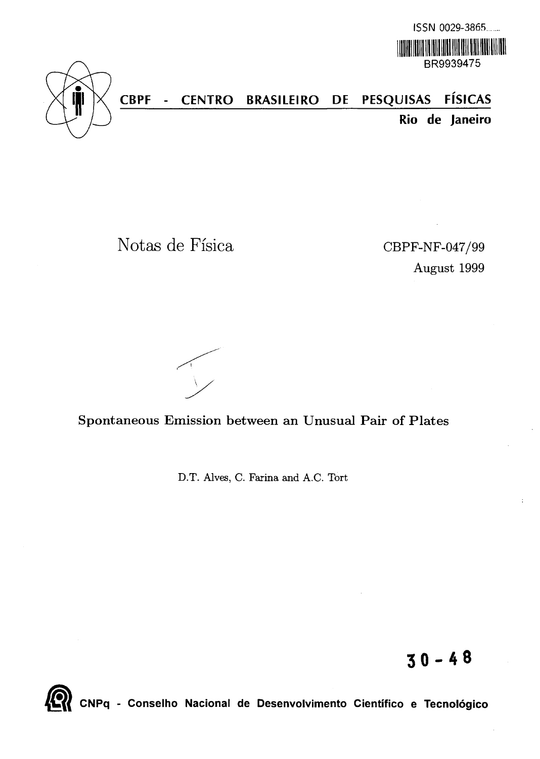



**CBPF - CENTRO BRASILEIRO DE PESQUISAS FISICAS Rio de Janeiro**

Notas de Fisica CBPF-NF-047/99

August 1999

Spontaneous Emission between an Unusual Pair of Plates

D.T. Alves, C. Farina and A.C. Tort

**30-4 8**



CNPq - Conselho Nacional de Desenvolvimento Cientifico e Tecnologico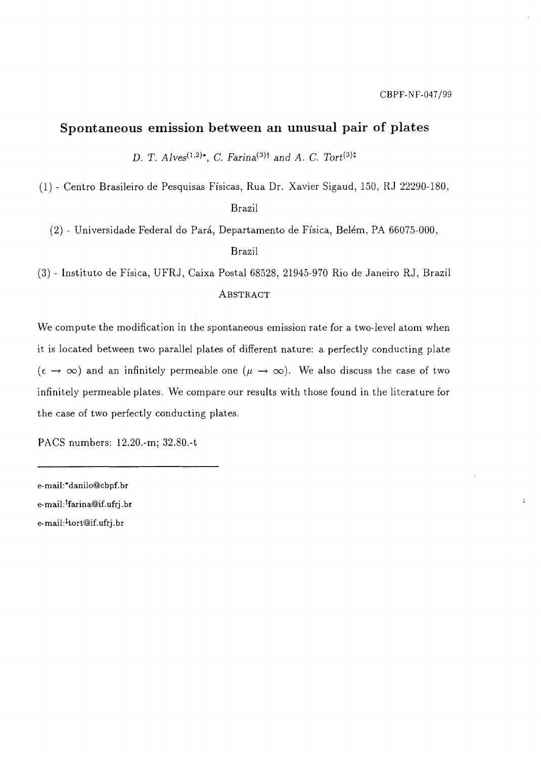÷.

## Spontaneous emission between an unusual pair of plates

*D. T. Alves*<sup>(1,2)\*</sup>, *C. Farina*<sup>(3)†</sup> and *A. C. Tort*<sup>(3)‡</sup>

(1) - Centro Brasileiro de Pesquisas Fisicas, Rua Dr. Xavier Sigaud, 150, RJ 22290-180,

Brazil

(2) - Universidade Federal do Pará, Departamento de Física, Belém, PA 66075-000,

Brazil

(3) - Institute de Fisica, UFRJ, Caixa Postal 68528, 21945-970 Rio de Janeiro RJ, Brazil ABSTRACT

We compute the modification in the spontaneous emission rate for a two-level atom when it is located between two parallel plates of different nature: a perfectly conducting plate  $(\epsilon \to \infty)$  and an infinitely permeable one  $(\mu \to \infty)$ . We also discuss the case of two infinitely permeable plates. We compare our results with those found in the literature for the case of two perfectly conducting plates.

PACS numbers: 12.20.-m; 32.80.-t

e-mail:\*danilo@cbpf.br e-mail:<sup>†</sup>farina@if.ufrj.br e-mail :\*tort@if. ufrj.br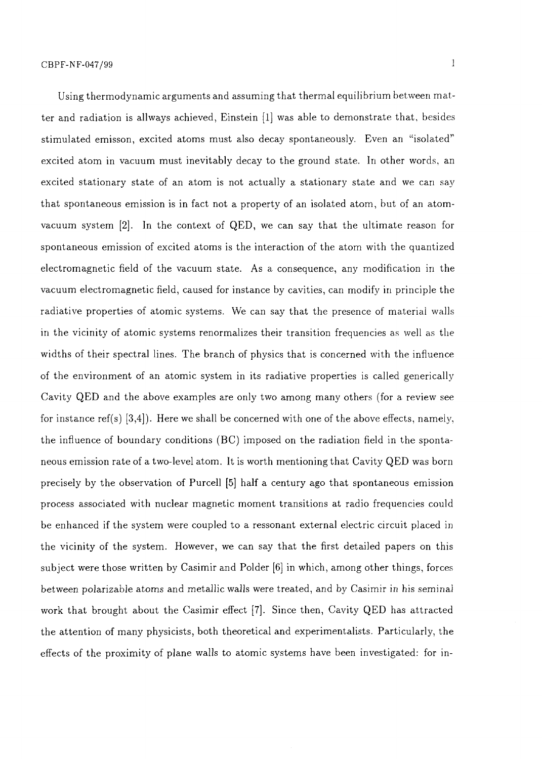Using thermodynamic arguments and assuming that thermal equilibrium between matter and radiation is allways achieved, Einstein [1] was able to demonstrate that, besides stimulated emisson, excited atoms must also decay spontaneously. Even an "isolated" excited atom in vacuum must inevitably decay to the ground state. In other words, an excited stationary state of an atom is not actually a stationary state and we can say that spontaneous emission is in fact not a property of an isolated atom, but of an atomvacuum system [2]. In the context of QED, we can say that the ultimate reason for spontaneous emission of excited atoms is the interaction of the atom with the quantized electromagnetic field of the vacuum state. As a consequence, any modification in the vacuum electromagnetic field, caused for instance by cavities, can modify in principle the radiative properties of atomic systems. We can say that the presence of material walls in the vicinity of atomic systems renormalizes their transition frequencies as well as the widths of their spectral lines. The branch of physics that is concerned with the influence of the environment of an atomic system in its radiative properties is called generically Cavity QED and the above examples are only two among many others (for a, review see for instance ref(s)  $[3,4]$ . Here we shall be concerned with one of the above effects, namely, the influence of boundary conditions (BC) imposed on the radiation field in the spontaneous emission rate of a two-level atom. It is worth mentioning that Cavity QED was born precisely by the observation of Purcell [5] half a century ago that spontaneous emission process associated with nuclear magnetic moment transitions at radio frequencies could be enhanced if the system were coupled to a ressonant external electric circuit placed in the vicinity of the system. However, we can say that the first detailed papers on this subject were those written by Casimir and Polder [6] in which, among other things, forces between polarizable atoms and metallic walls were treated, and by Casimir in his seminal work that brought about the Casimir effect [7]. Since then, Cavity QED has attracted the attention of many physicists, both theoretical and experimentalists. Particularly, the effects of the proximity of plane walls to atomic systems have been investigated: for in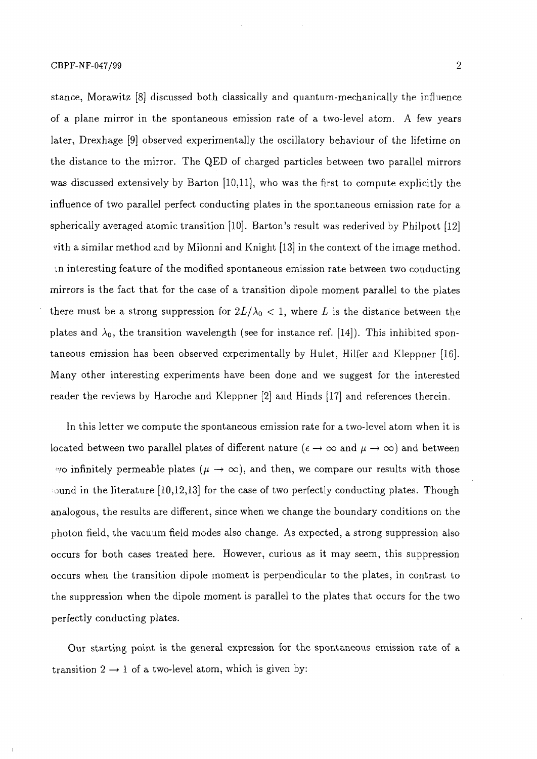stance, Morawitz [8] discussed both classically and quantum-mechanically the influence of a plane mirror in the spontaneous emission rate of a two-level atom. A few years later, Drexhage [9] observed experimentally the oscillatory behaviour of the lifetime on the distance to the mirror. The QED of charged particles between two parallel mirrors was discussed extensively by Barton [10,11], who was the first to compute explicitly the influence of two parallel perfect conducting plates in the spontaneous emission rate for a spherically averaged atomic transition [10]. Barton's result was rederived by Philpott [12] vith a similar method and by Milonni and Knight [13] in the context of the image method. : .n interesting feature of the modified spontaneous emission rate between two conducting mirrors is the fact that for the case of a transition dipole moment parallel to the plates there must be a strong suppression for  $2L/\lambda_0 < 1$ , where L is the distance between the plates and  $\lambda_0$ , the transition wavelength (see for instance ref. [14]). This inhibited spontaneous emission has been observed experimentally by Hulet, Hilfer and Kleppner [16]. Many other interesting experiments have been done and we suggest for the interested reader the reviews by Haroche and Kleppner [2] and Hinds [17] and references therein.

In this letter we compute the spontaneous emission rate for a two-level atom when it is located between two parallel plates of different nature ( $\epsilon \to \infty$  and  $\mu \to \infty$ ) and between vo infinitely permeable plates  $(\mu \to \infty)$ , and then, we compare our results with those ound in the literature  $[10,12,13]$  for the case of two perfectly conducting plates. Though analogous, the results are different, since when we change the boundary conditions on the photon field, the vacuum field modes also change. As expected, a strong suppression also occurs for both cases treated here. However, curious as it may seem, this suppression occurs when the transition dipole moment is perpendicular to the plates, in contrast to the suppression when the dipole moment is parallel to the plates that occurs for the two perfectly conducting plates.

Our starting point is the general expression for the spontaneous emission rate of a transition  $2 \rightarrow 1$  of a two-level atom, which is given by: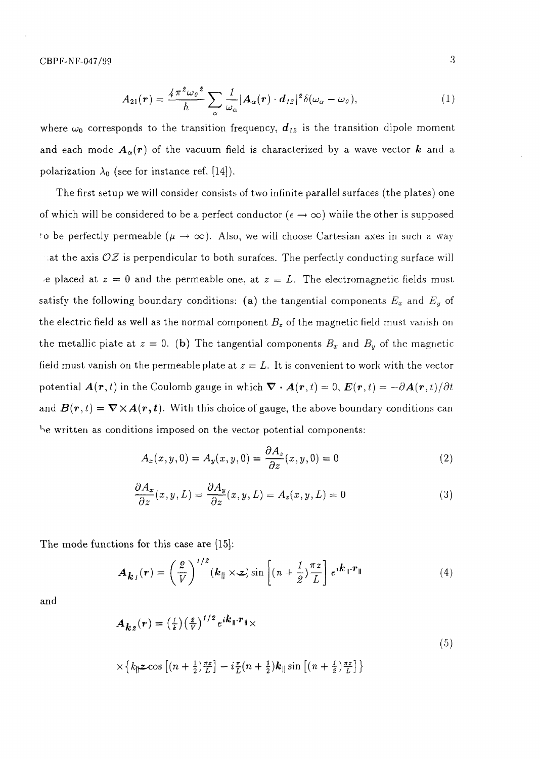$$
A_{21}(\boldsymbol{r}) = \frac{4\pi^2\omega_0^2}{\hbar} \sum_{\alpha} \frac{1}{\omega_{\alpha}} |A_{\alpha}(\boldsymbol{r}) \cdot \boldsymbol{d}_{12}|^2 \delta(\omega_{\alpha} - \omega_0), \qquad (1)
$$

where  $\omega_0$  corresponds to the transition frequency,  $d_{12}$  is the transition dipole moment and each mode  $A_{\alpha}(r)$  of the vacuum field is characterized by a wave vector k and a polarization  $\lambda_0$  (see for instance ref. [14]).

The first setup we will consider consists of two infinite parallel surfaces (the plates) one of which will be considered to be a perfect conductor ( $\epsilon \to \infty$ ) while the other is supposed to be perfectly permeable ( $\mu \to \infty$ ). Also, we will choose Cartesian axes in such a way at the axis  $\mathcal{OZ}$  is perpendicular to both surafces. The perfectly conducting surface will e placed at  $z = 0$  and the permeable one, at  $z = L$ . The electromagnetic fields must satisfy the following boundary conditions: (a) the tangential components  $E_x$  and  $E_y$  of the electric field as well as the normal component  $B_z$  of the magnetic field must, vanish on the metallic plate at  $z = 0$ . (b) The tangential components  $B_x$  and  $B_y$  of the magnetic field must vanish on the permeable plate at  $z = L$ . It is convenient to work with the vector potential  $\mathbf{A}(\mathbf{r},t)$  in the Coulomb gauge in which  $\nabla \cdot \mathbf{A}(\mathbf{r},t) = 0$ ,  $\mathbf{E}(\mathbf{r},t) = -\partial \mathbf{A}(\mathbf{r},t)/\partial t$ and  $B(r,t) = \nabla \times A(r,t)$ . With this choice of gauge, the above boundary conditions can be written as conditions imposed on the vector potential components:

$$
A_x(x, y, 0) = A_y(x, y, 0) = \frac{\partial A_z}{\partial z}(x, y, 0) = 0
$$
\n(2)

$$
\frac{\partial A_x}{\partial z}(x, y, L) = \frac{\partial A_y}{\partial z}(x, y, L) = A_z(x, y, L) = 0
$$
\n(3)

The mode functions for this case are [15]:

$$
\boldsymbol{A}_{\boldsymbol{k}}_{l}(\boldsymbol{r}) = \left(\frac{2}{V}\right)^{1/2} (\boldsymbol{k}_{\parallel} \times \boldsymbol{z}) \sin \left[ (n + \frac{1}{2}) \frac{\pi z}{L} \right] e^{i \boldsymbol{k}_{\parallel} \cdot \boldsymbol{r}_{\parallel}}
$$
(4)

and

$$
A_{\mathbf{k}z}(r) = \left(\frac{1}{k}\right)\left(\frac{z}{V}\right)^{1/2} e^{i\mathbf{k}_{\parallel} \cdot \mathbf{r}_{\parallel}} \times
$$
  
 
$$
\times \left\{ k_{\parallel} z \cos \left[ (n + \frac{1}{2}) \frac{\pi z}{L} \right] - i \frac{\pi}{L} (n + \frac{1}{2}) \mathbf{k}_{\parallel} \sin \left[ (n + \frac{1}{2}) \frac{\pi z}{L} \right] \right\}
$$
(5)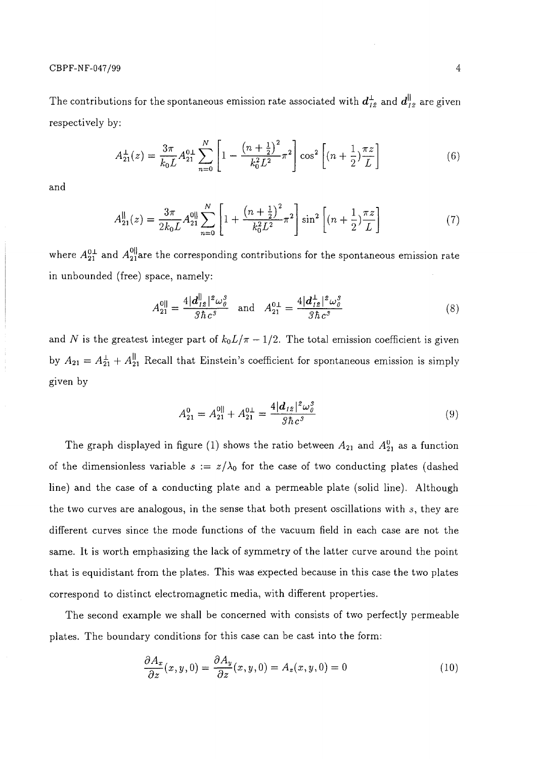CBPF-NF-047/99 4

The contributions for the spontaneous emission rate associated with  $d_{12}^{\perp}$  and  $d_{12}^{\parallel}$  are given respectively by:

$$
A_{21}^{\perp}(z) = \frac{3\pi}{k_0 L} A_{21}^{0\perp} \sum_{n=0}^{N} \left[ 1 - \frac{\left(n + \frac{1}{2}\right)^2}{k_0^2 L^2} \pi^2 \right] \cos^2 \left[ \left(n + \frac{1}{2}\right) \frac{\pi z}{L} \right] \tag{6}
$$

and

$$
A_{21}^{\parallel}(z) = \frac{3\pi}{2k_0L} A_{21}^{0\parallel} \sum_{n=0}^{N} \left[ 1 + \frac{\left(n + \frac{1}{2}\right)^2}{k_0^2 L^2} \pi^2 \right] \sin^2 \left[ \left(n + \frac{1}{2}\right) \frac{\pi z}{L} \right] \tag{7}
$$

where  $A_{21}^{0\perp}$  and  $A_{21}^{0\parallel}$ are the corresponding contributions for the spontaneous emission rate in unbounded (free) space, namely:

$$
A_{21}^{0\parallel} = \frac{4|\mathbf{d}_{12}^{\parallel}|^2 \omega_o^3}{3\hbar c^3} \text{ and } A_{21}^{0\perp} = \frac{4|\mathbf{d}_{12}^{\perp}|^2 \omega_o^3}{3\hbar c^3}
$$
 (8)

and N is the greatest integer part of  $k_0L/\pi - 1/2$ . The total emission coefficient is given by  $A_{21} = A_{21}^{\perp} + A_{21}^{\parallel}$  Recall that Einstein's coefficient for spontaneous emission is simply given by

$$
A_{21}^{0} = A_{21}^{0||} + A_{21}^{0\perp} = \frac{4|d_{12}|^2 \omega_0^3}{3\hbar c^3} \tag{9}
$$

The graph displayed in figure (1) shows the ratio between  $A_{21}$  and  $A_{21}^0$  as a function of the dimensionless variable  $s := z/\lambda_0$  for the case of two conducting plates (dashed line) and the case of a conducting plate and a permeable plate (solid line). Although the two curves are analogous, in the sense that both present oscillations with *s,* they are different curves since the mode functions of the vacuum field in each case are not the same. It is worth emphasizing the lack of symmetry of the latter curve around the point that is equidistant from the plates. This was expected because in this case the two plates correspond to distinct electromagnetic media, with different properties.

The second example we shall be concerned with consists of two perfectly permeable plates. The boundary conditions for this case can be cast into the form:

$$
\frac{\partial A_x}{\partial z}(x, y, 0) = \frac{\partial A_y}{\partial z}(x, y, 0) = A_z(x, y, 0) = 0
$$
\n(10)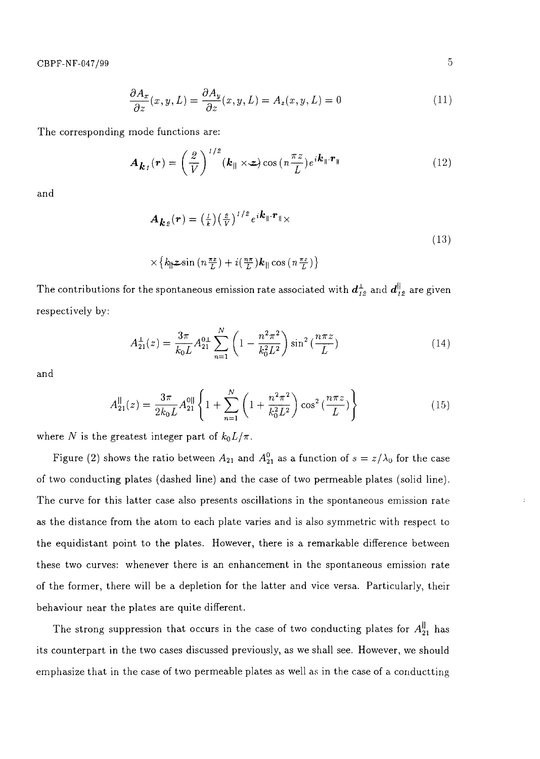$$
\frac{\partial A_x}{\partial z}(x, y, L) = \frac{\partial A_y}{\partial z}(x, y, L) = A_z(x, y, L) = 0
$$
\n(11)

The corresponding mode functions are:

$$
\boldsymbol{A}_{\boldsymbol{k}_I}(\boldsymbol{r}) = \left(\frac{2}{V}\right)^{1/2} (\boldsymbol{k}_{\parallel} \times \boldsymbol{z}) \cos\left(n\frac{\pi z}{L}\right) e^{i\boldsymbol{k}_{\parallel} \cdot \boldsymbol{r}_{\parallel}}
$$
(12)

and

$$
A_{\mathbf{k}z}(\mathbf{r}) = \left(\frac{1}{k}\right) \left(\frac{z}{V}\right)^{1/2} e^{i\mathbf{k}_{\parallel} \cdot \mathbf{r}_{\parallel}} \times
$$
  
 
$$
\times \left\{ k_{\parallel} z \sin \left(n \frac{\pi z}{L}\right) + i \left(\frac{n \pi}{L}\right) \mathbf{k}_{\parallel} \cos \left(n \frac{\pi z}{L}\right) \right\}
$$
 (13)

The contributions for the spontaneous emission rate associated with 
$$
\boldsymbol{d}_{I2}^{\perp}
$$
 and  $\boldsymbol{d}_{I2}^{\parallel}$  are given respectively by:

$$
A_{21}^{\perp}(z) = \frac{3\pi}{k_0 L} A_{21}^{0\perp} \sum_{n=1}^{N} \left( 1 - \frac{n^2 \pi^2}{k_0^2 L^2} \right) \sin^2\left(\frac{n\pi z}{L}\right) \tag{14}
$$

and

$$
A_{21}^{\parallel}(z) = \frac{3\pi}{2k_0L} A_{21}^{\parallel 0} \left\{ 1 + \sum_{n=1}^{N} \left( 1 + \frac{n^2 \pi^2}{k_0^2 L^2} \right) \cos^2\left(\frac{n\pi z}{L}\right) \right\}
$$
(15)

where N is the greatest integer part of  $k_0 L/\pi$ .

Figure (2) shows the ratio between  $A_{21}$  and  $A_{21}^0$  as a function of  $s = z/\lambda_0$  for the case of two conducting plates (dashed line) and the case of two permeable plates (solid line). The curve for this latter case also presents oscillations in the spontaneous emission rate as the distance from the atom to each plate varies and is also symmetric with respect to the equidistant point to the plates. However, there is a remarkable difference between these two curves: whenever there is an enhancement in the spontaneous emission rate of the former, there will be a depletion for the latter and vice versa. Particularly, their behaviour near the plates are quite different.

The strong suppression that occurs in the case of two conducting plates for  $A^{\parallel}_{21}$  has its counterpart in the two cases discussed previously, as we shall see. However, we should emphasize that in the case of two permeable plates as well as in the case of a conductting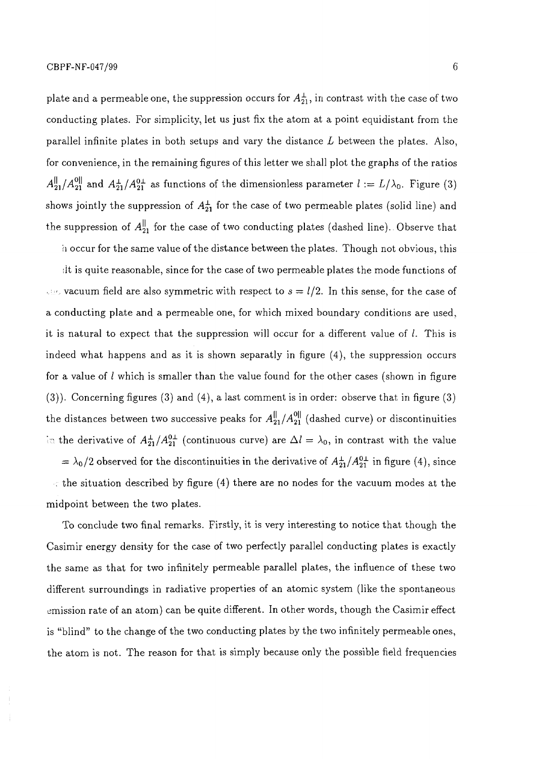plate and a permeable one, the suppression occurs for  $A^{\perp}_{21}$ , in contrast with the case of two conducting plates. For simplicity, let us just fix the atom at a point equidistant from the parallel infinite plates in both setups and vary the distance *L* between the plates. Also, for convenience, in the remaining figures of this letter we shall plot the graphs of the ratios  $A_{21}^{||}/A_{21}^{0||}$  and  $A_{21}^{+}/A_{21}^{0\perp}$  as functions of the dimensionless parameter  $l := L/\lambda_0$ . Figure (3) shows jointly the suppression of  $A^{\perp}_{21}$  for the case of two permeable plates (solid line) and the suppression of  $A_{21}^{\parallel}$  for the case of two conducting plates (dashed line). Observe that

h occur for the same value of the distance between the plates. Though not obvious, this

lit is quite reasonable, since for the case of two permeable plates the mode functions of  $\cdots$  vacuum field are also symmetric with respect to  $s = l/2$ . In this sense, for the case of a conducting plate and a permeable one, for which mixed boundary conditions are used, it is natural to expect that the suppression will occur for a different value of  $l$ . This is indeed what happens and as it is shown separatly in figure (4), the suppression occurs for a value of *I* which is smaller than the value found for the other cases (shown in figure (3)). Concerning figures (3) and (4), a last comment is in order: observe that in figure (3) the distances between two successive peaks for  $A_{21}^{\parallel}/A_{21}^{0\parallel}$  (dashed curve) or discontinuities  $\frac{1}{2}$  the derivative of  $A^{\perp}_{21}/A^{0\perp}_{21}$  (continuous curve) are  $\Delta l = \lambda_0$ , in contrast with the value

 $= \lambda_0/2$  observed for the discontinuities in the derivative of  $A^{\perp}_{21}/A^{0\perp}_{21}$  in figure (4), since  $\cdot$  the situation described by figure (4) there are no nodes for the vacuum modes at the midpoint between the two plates.

To conclude two final remarks. Firstly, it is very interesting to notice that though the Casimir energy density for the case of two perfectly parallel conducting plates is exactly the same as that for two infinitely permeable parallel plates, the influence of these two different surroundings in radiative properties of an atomic system (like the spontaneous emission rate of an atom) can be quite different. In other words, though the Casimir effect is "blind" to the change of the two conducting plates by the two infinitely permeable ones, the atom is not. The reason for that is simply because only the possible field frequencies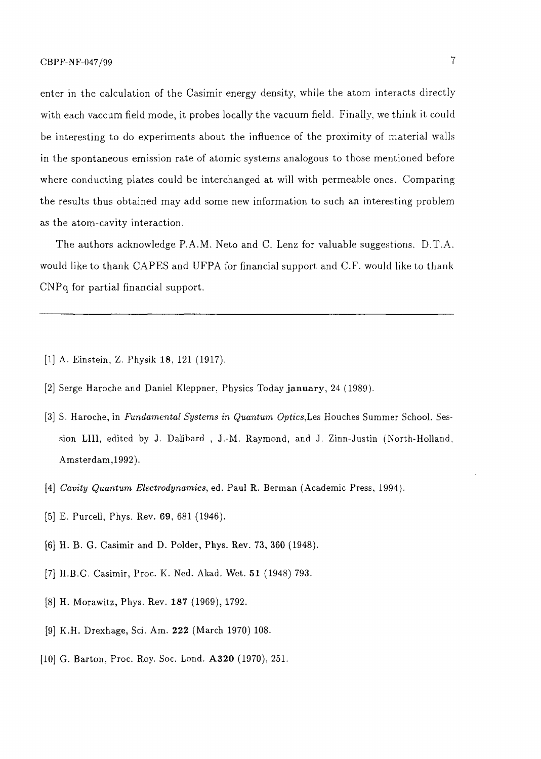enter in the calculation of the Casimir energy density, while the atom interacts directly with each vaccum field mode, it probes locally the vacuum field. Finally, we think it could be interesting to do experiments about the influence of the proximity of material walls in the spontaneous emission rate of atomic systems analogous to those mentioned before where conducting plates could be interchanged at will with permeable ones. Comparing the results thus obtained may add some new information to such an interesting problem as the atom-cavity interaction.

The authors acknowledge P.A.M. Neto and C. Lenz for valuable suggestions. D.T.A. would like to thank CAPES and UFPA for financial support and C.F. would like to thank CNPq for partial financial support.

- [1] A. Einstein, Z. Physik **18,** 121 (1917).
- [2] Serge Haroche and Daniel Kleppner. Physics Today **January,** 24 (1989).
- [3] S. Haroche, in *Fundamental Systems in Quantum Optics,Les* Houches Summer School. Session **LIII,** edited by J. Dalibard , J.-M. Raymond, and J. Zinn-Justin (North-Holland, Amsterdam,1992).
- [4] *Cavity Quantum Electrodynamics,* ed. Paul R. Berman (Academic Press, 1994).
- [5] E. Purcell, Phys. Rev. 69, 681 (1946).
- [6] H. B. G. Casimir and D. Polder, Phys. Rev. 73, 360 (1948).
- [7] H.B.G. Casimir, Proc. K. Ned. Akad. Wet. 51 (1948) 793.
- [8] H. Morawitz, Phys. Rev. **187** (1969), 1792.
- [9] K.H. Drexhage, Sci. Am. **222** (March 1970) 108.
- [10] G. Barton, Proc. Roy. Soc. Lond. **A320** (1970), 251.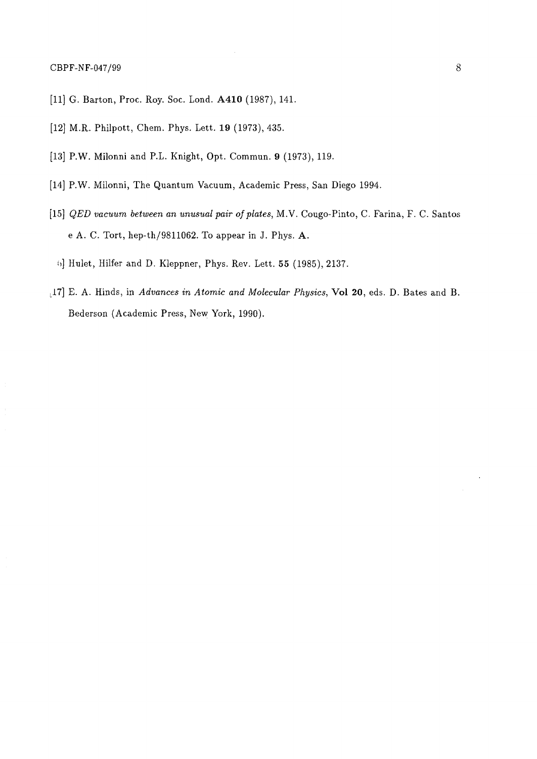- [11] G. Barton, Proc. Roy. Soc. Lond. **A410** (1987), 141.
- [12] M.R. Philpott, Chem. Phys. Lett. 19 (1973), 435.
- [13] P.W. Milonni and P.L. Knight, Opt. Commun. 9 (1973), 119.
- [14] P.W. Milonni, The Quantum Vacuum, Academic Press, San Diego 1994.
- [15] *QED vacuum between an unusual pair of plates,* M.V. Cougo-Pinto, C. Farina, F. C. Santos e A. C. Tort, hep-th/9811062. To appear in J. Phys. A.
	- 6] Hulet, Hilfer and D. Kleppner, Phys. Rev. Lett. 55 (1985), 2137.
- <sup>L</sup>17] E. A. Hinds, in *Advances in Atomic and Molecular Physics,* **Vol** 20, eds. D. Bates and B. Bederson (Academic Press, New York, 1990).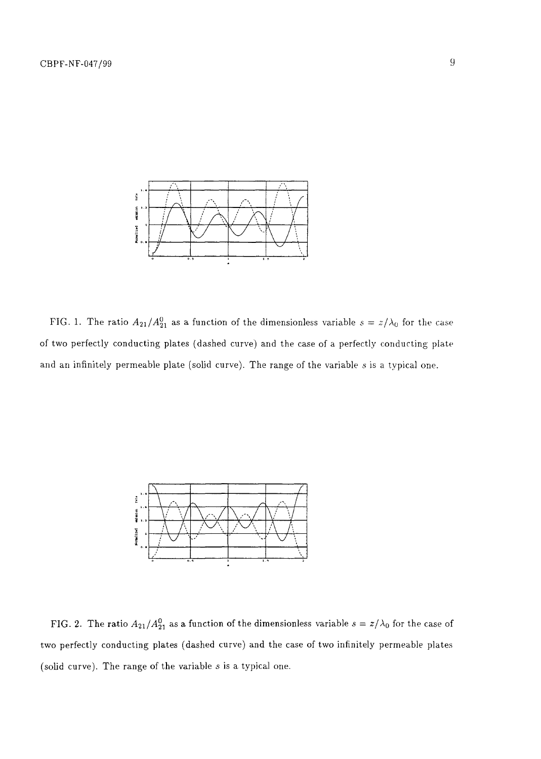

FIG. 1. The ratio  $A_{21}/A_{21}^0$  as a function of the dimensionless variable  $s = z/\lambda_0$  for the case of two perfectly conducting plates (dashed curve) and the case of a perfectly conducting plate and an infinitely permeable plate (solid curve). The range of the variable *s* is a typical one.



FIG. 2. The ratio  $A_{21}/A_{21}^0$  as a function of the dimensionless variable  $s = z/\lambda_0$  for the case of two perfectly conducting plates (dashed curve) and the case of two infinitely permeable plates (solid curve). The range of the variable *s* is a typical one.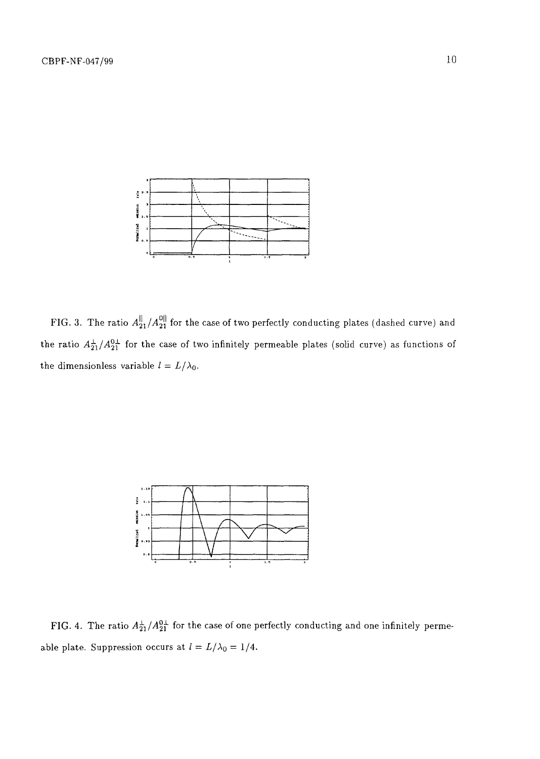

FIG. 3. The ratio  $A^{\parallel}_{21}/A^{\parallel 0\parallel}_{21}$  for the case of two perfectly conducting plates (dashed curve) and the ratio  $A_2^{\perp}/A_2^{0\perp}$  for the case of two infinitely permeable plates (solid curve) as functions of the dimensionless variable  $l = L/\lambda_0$ .



FIG. 4. The ratio  $A_{21}^\pm / A_{21}^{0\pm}$  for the case of one perfectly conducting and one infinitely permeable plate. Suppression occurs at  $l = L/\lambda_0 = 1/4$ .